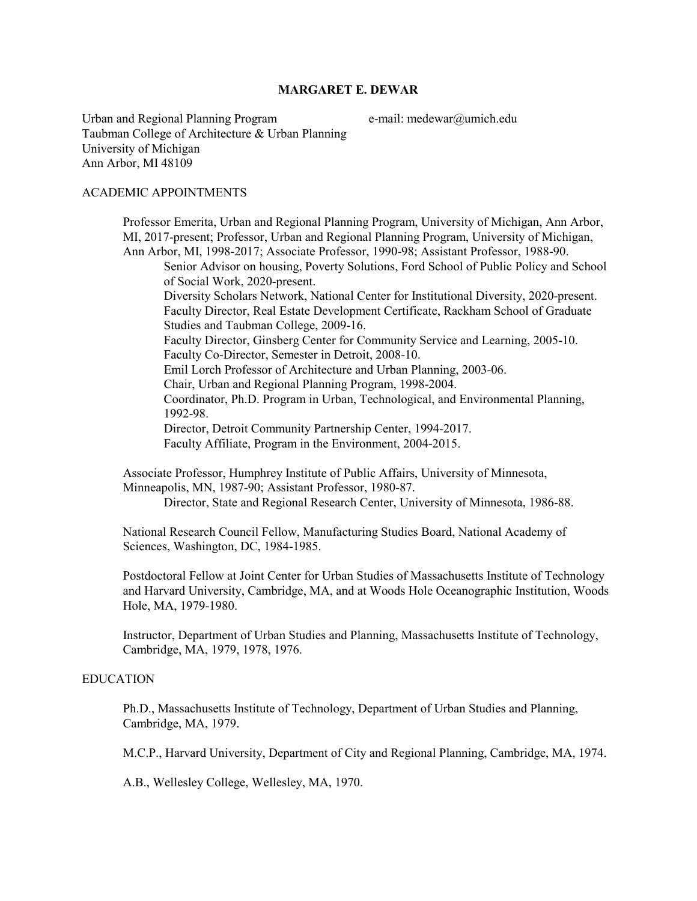# **MARGARET E. DEWAR**

Urban and Regional Planning Program e-mail: medewar@umich.edu Taubman College of Architecture & Urban Planning University of Michigan Ann Arbor, MI 48109

#### ACADEMIC APPOINTMENTS

Professor Emerita, Urban and Regional Planning Program, University of Michigan, Ann Arbor, MI, 2017-present; Professor, Urban and Regional Planning Program, University of Michigan, Ann Arbor, MI, 1998-2017; Associate Professor, 1990-98; Assistant Professor, 1988-90. Senior Advisor on housing, Poverty Solutions, Ford School of Public Policy and School of Social Work, 2020-present. Diversity Scholars Network, National Center for Institutional Diversity, 2020-present. Faculty Director, Real Estate Development Certificate, Rackham School of Graduate Studies and Taubman College, 2009-16. Faculty Director, Ginsberg Center for Community Service and Learning, 2005-10. Faculty Co-Director, Semester in Detroit, 2008-10. Emil Lorch Professor of Architecture and Urban Planning, 2003-06. Chair, Urban and Regional Planning Program, 1998-2004. Coordinator, Ph.D. Program in Urban, Technological, and Environmental Planning, 1992-98. Director, Detroit Community Partnership Center, 1994-2017. Faculty Affiliate, Program in the Environment, 2004-2015. Associate Professor, Humphrey Institute of Public Affairs, University of Minnesota, Minneapolis, MN, 1987-90; Assistant Professor, 1980-87. Director, State and Regional Research Center, University of Minnesota, 1986-88.

National Research Council Fellow, Manufacturing Studies Board, National Academy of Sciences, Washington, DC, 1984-1985.

Postdoctoral Fellow at Joint Center for Urban Studies of Massachusetts Institute of Technology and Harvard University, Cambridge, MA, and at Woods Hole Oceanographic Institution, Woods Hole, MA, 1979-1980.

Instructor, Department of Urban Studies and Planning, Massachusetts Institute of Technology, Cambridge, MA, 1979, 1978, 1976.

### EDUCATION

Ph.D., Massachusetts Institute of Technology, Department of Urban Studies and Planning, Cambridge, MA, 1979.

M.C.P., Harvard University, Department of City and Regional Planning, Cambridge, MA, 1974.

A.B., Wellesley College, Wellesley, MA, 1970.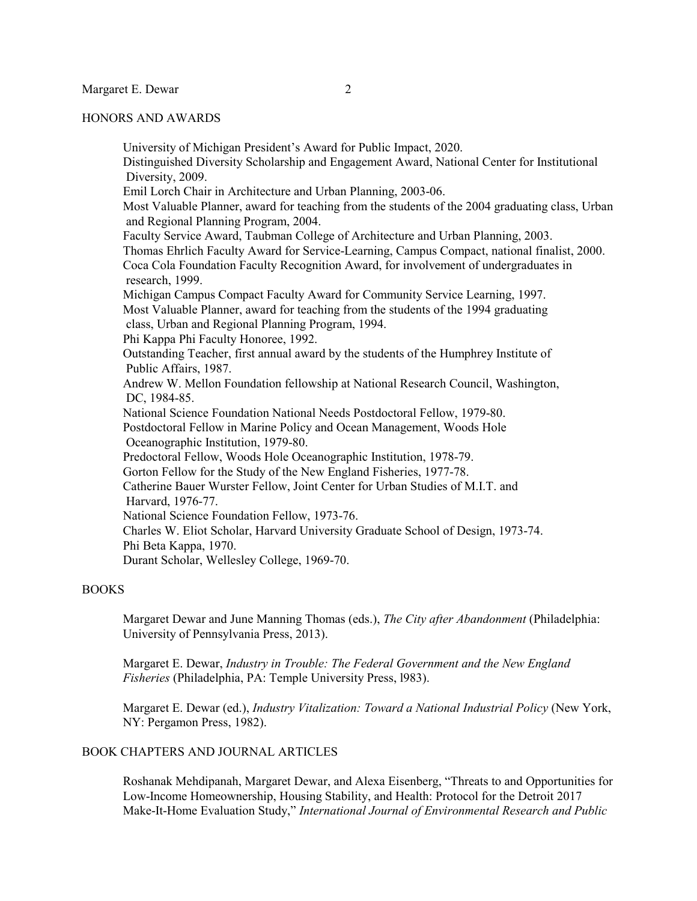#### HONORS AND AWARDS

University of Michigan President's Award for Public Impact, 2020. Distinguished Diversity Scholarship and Engagement Award, National Center for Institutional Diversity, 2009. Emil Lorch Chair in Architecture and Urban Planning, 2003-06. Most Valuable Planner, award for teaching from the students of the 2004 graduating class, Urban and Regional Planning Program, 2004. Faculty Service Award, Taubman College of Architecture and Urban Planning, 2003. Thomas Ehrlich Faculty Award for Service-Learning, Campus Compact, national finalist, 2000. Coca Cola Foundation Faculty Recognition Award, for involvement of undergraduates in research, 1999. Michigan Campus Compact Faculty Award for Community Service Learning, 1997. Most Valuable Planner, award for teaching from the students of the 1994 graduating class, Urban and Regional Planning Program, 1994. Phi Kappa Phi Faculty Honoree, 1992. Outstanding Teacher, first annual award by the students of the Humphrey Institute of Public Affairs, 1987. Andrew W. Mellon Foundation fellowship at National Research Council, Washington, DC, 1984-85. National Science Foundation National Needs Postdoctoral Fellow, 1979-80. Postdoctoral Fellow in Marine Policy and Ocean Management, Woods Hole Oceanographic Institution, 1979-80. Predoctoral Fellow, Woods Hole Oceanographic Institution, 1978-79. Gorton Fellow for the Study of the New England Fisheries, 1977-78. Catherine Bauer Wurster Fellow, Joint Center for Urban Studies of M.I.T. and Harvard, 1976-77. National Science Foundation Fellow, 1973-76. Charles W. Eliot Scholar, Harvard University Graduate School of Design, 1973-74. Phi Beta Kappa, 1970. Durant Scholar, Wellesley College, 1969-70.

# BOOKS

Margaret Dewar and June Manning Thomas (eds.), *The City after Abandonment* (Philadelphia: University of Pennsylvania Press, 2013).

Margaret E. Dewar, *Industry in Trouble: The Federal Government and the New England Fisheries* (Philadelphia, PA: Temple University Press, l983).

Margaret E. Dewar (ed.), *Industry Vitalization: Toward a National Industrial Policy* (New York, NY: Pergamon Press, 1982).

# BOOK CHAPTERS AND JOURNAL ARTICLES

Roshanak Mehdipanah, Margaret Dewar, and Alexa Eisenberg, "Threats to and Opportunities for Low-Income Homeownership, Housing Stability, and Health: Protocol for the Detroit 2017 Make-It-Home Evaluation Study," *International Journal of Environmental Research and Public*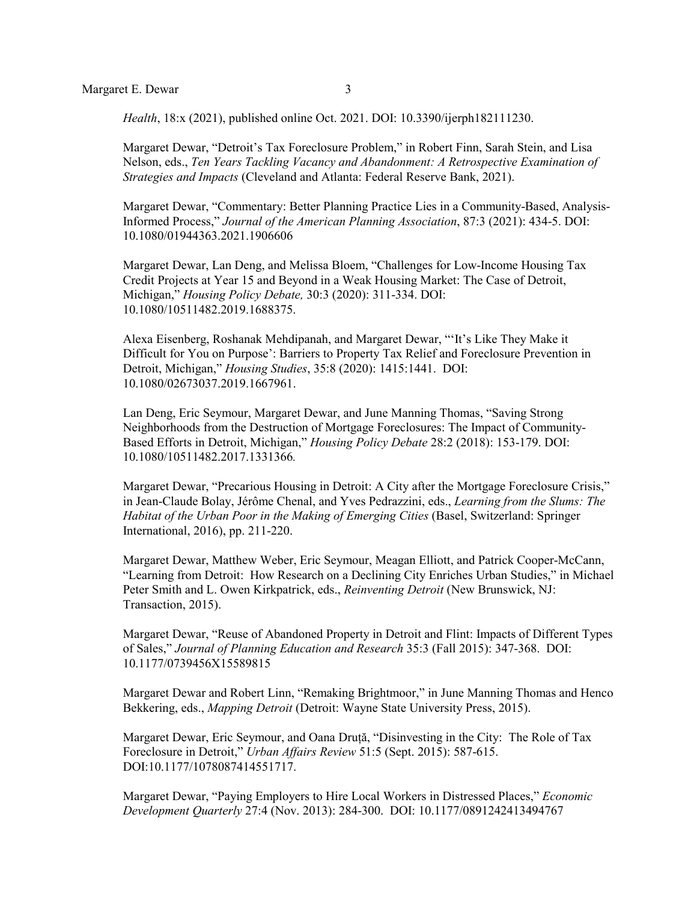*Health*, 18:x (2021), published online Oct. 2021. DOI: 10.3390/ijerph182111230.

Margaret Dewar, "Detroit's Tax Foreclosure Problem," in Robert Finn, Sarah Stein, and Lisa Nelson, eds., *Ten Years Tackling Vacancy and Abandonment: A Retrospective Examination of Strategies and Impacts* (Cleveland and Atlanta: Federal Reserve Bank, 2021).

Margaret Dewar, "Commentary: Better Planning Practice Lies in a Community-Based, Analysis-Informed Process," *Journal of the American Planning Association*, 87:3 (2021): 434-5. DOI: 10.1080/01944363.2021.1906606

Margaret Dewar, Lan Deng, and Melissa Bloem, "Challenges for Low-Income Housing Tax Credit Projects at Year 15 and Beyond in a Weak Housing Market: The Case of Detroit, Michigan," *Housing Policy Debate,* 30:3 (2020): 311-334. DOI: 10.1080/10511482.2019.1688375.

Alexa Eisenberg, Roshanak Mehdipanah, and Margaret Dewar, "'It's Like They Make it Difficult for You on Purpose': Barriers to Property Tax Relief and Foreclosure Prevention in Detroit, Michigan," *Housing Studies*, 35:8 (2020): 1415:1441. DOI: 10.1080/02673037.2019.1667961.

Lan Deng, Eric Seymour, Margaret Dewar, and June Manning Thomas, "Saving Strong Neighborhoods from the Destruction of Mortgage Foreclosures: The Impact of Community-Based Efforts in Detroit, Michigan," *Housing Policy Debate* 28:2 (2018): 153-179. DOI: 10.1080/10511482.2017.1331366*.*

Margaret Dewar, "Precarious Housing in Detroit: A City after the Mortgage Foreclosure Crisis," in Jean-Claude Bolay, Jérôme Chenal, and Yves Pedrazzini, eds., *Learning from the Slums: The Habitat of the Urban Poor in the Making of Emerging Cities (Basel, Switzerland: Springer* International, 2016), pp. 211-220.

Margaret Dewar, Matthew Weber, Eric Seymour, Meagan Elliott, and Patrick Cooper-McCann, "Learning from Detroit: How Research on a Declining City Enriches Urban Studies," in Michael Peter Smith and L. Owen Kirkpatrick, eds., *Reinventing Detroit* (New Brunswick, NJ: Transaction, 2015).

Margaret Dewar, "Reuse of Abandoned Property in Detroit and Flint: Impacts of Different Types of Sales," *Journal of Planning Education and Research* 35:3 (Fall 2015): 347-368. DOI: 10.1177/0739456X15589815

Margaret Dewar and Robert Linn, "Remaking Brightmoor," in June Manning Thomas and Henco Bekkering, eds., *Mapping Detroit* (Detroit: Wayne State University Press, 2015).

Margaret Dewar, Eric Seymour, and Oana Druță, "Disinvesting in the City: The Role of Tax Foreclosure in Detroit," *Urban Affairs Review* 51:5 (Sept. 2015): 587-615. DOI:10.1177/1078087414551717.

Margaret Dewar, "Paying Employers to Hire Local Workers in Distressed Places," *Economic Development Quarterly* 27:4 (Nov. 2013): 284-300. DOI: 10.1177/0891242413494767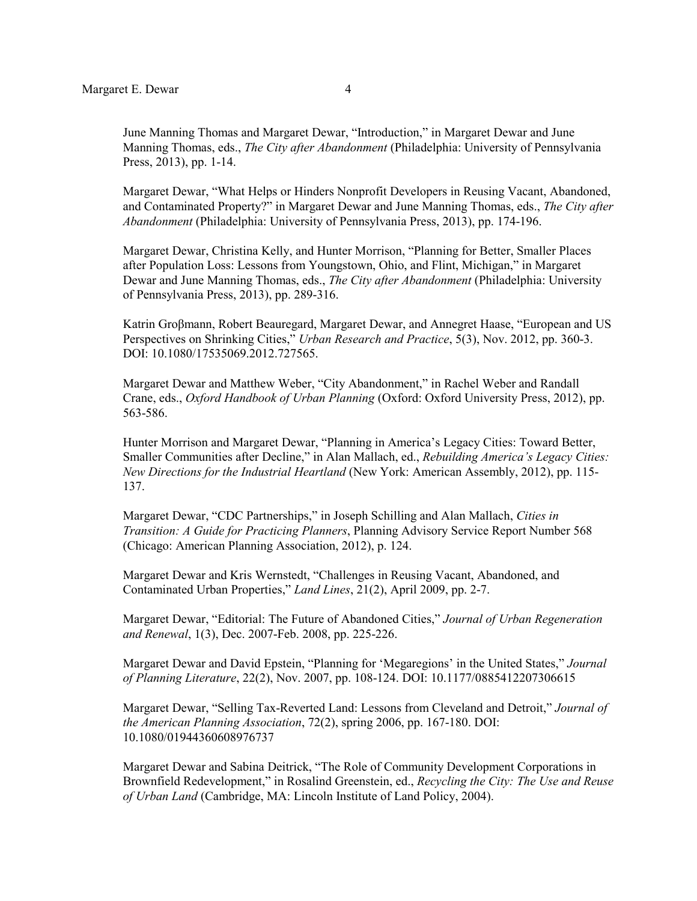June Manning Thomas and Margaret Dewar, "Introduction," in Margaret Dewar and June Manning Thomas, eds., *The City after Abandonment* (Philadelphia: University of Pennsylvania Press, 2013), pp. 1-14.

Margaret Dewar, "What Helps or Hinders Nonprofit Developers in Reusing Vacant, Abandoned, and Contaminated Property?" in Margaret Dewar and June Manning Thomas, eds., *The City after Abandonment* (Philadelphia: University of Pennsylvania Press, 2013), pp. 174-196.

Margaret Dewar, Christina Kelly, and Hunter Morrison, "Planning for Better, Smaller Places after Population Loss: Lessons from Youngstown, Ohio, and Flint, Michigan," in Margaret Dewar and June Manning Thomas, eds., *The City after Abandonment* (Philadelphia: University of Pennsylvania Press, 2013), pp. 289-316.

Katrin Groβmann, Robert Beauregard, Margaret Dewar, and Annegret Haase, "European and US Perspectives on Shrinking Cities," *Urban Research and Practice*, 5(3), Nov. 2012, pp. 360-3. DOI: 10.1080/17535069.2012.727565.

Margaret Dewar and Matthew Weber, "City Abandonment," in Rachel Weber and Randall Crane, eds., *Oxford Handbook of Urban Planning* (Oxford: Oxford University Press, 2012), pp. 563-586.

Hunter Morrison and Margaret Dewar, "Planning in America's Legacy Cities: Toward Better, Smaller Communities after Decline," in Alan Mallach, ed., *Rebuilding America's Legacy Cities: New Directions for the Industrial Heartland* (New York: American Assembly, 2012), pp. 115- 137.

Margaret Dewar, "CDC Partnerships," in Joseph Schilling and Alan Mallach, *Cities in Transition: A Guide for Practicing Planners*, Planning Advisory Service Report Number 568 (Chicago: American Planning Association, 2012), p. 124.

Margaret Dewar and Kris Wernstedt, "Challenges in Reusing Vacant, Abandoned, and Contaminated Urban Properties," *Land Lines*, 21(2), April 2009, pp. 2-7.

Margaret Dewar, "Editorial: The Future of Abandoned Cities," *Journal of Urban Regeneration and Renewal*, 1(3), Dec. 2007-Feb. 2008, pp. 225-226.

Margaret Dewar and David Epstein, "Planning for 'Megaregions' in the United States," *Journal of Planning Literature*, 22(2), Nov. 2007, pp. 108-124. DOI: 10.1177/0885412207306615

Margaret Dewar, "Selling Tax-Reverted Land: Lessons from Cleveland and Detroit," *Journal of the American Planning Association*, 72(2), spring 2006, pp. 167-180. DOI: 10.1080/01944360608976737

Margaret Dewar and Sabina Deitrick, "The Role of Community Development Corporations in Brownfield Redevelopment," in Rosalind Greenstein, ed., *Recycling the City: The Use and Reuse of Urban Land* (Cambridge, MA: Lincoln Institute of Land Policy, 2004).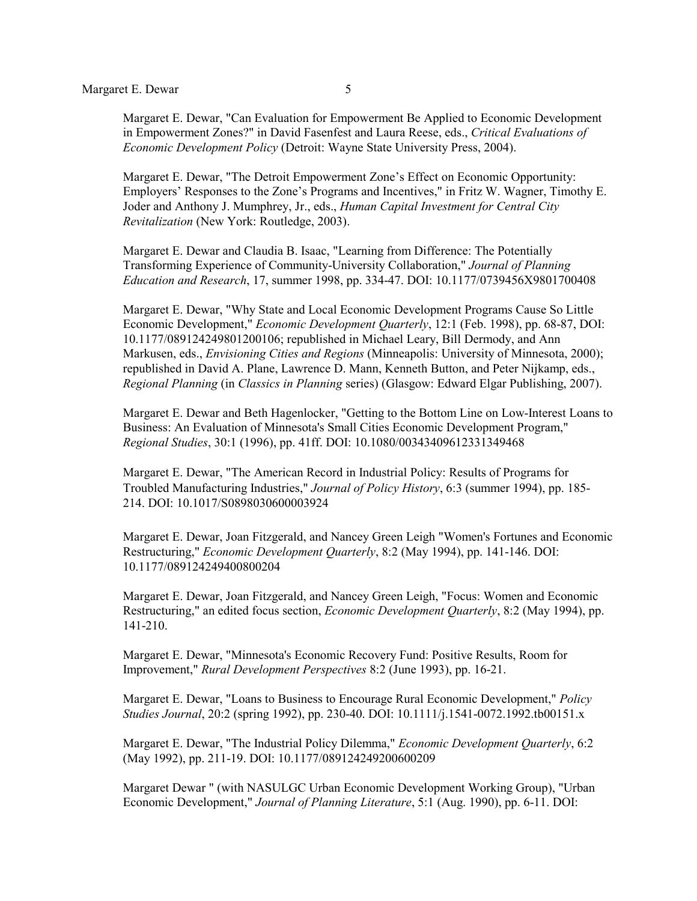Margaret E. Dewar, "Can Evaluation for Empowerment Be Applied to Economic Development in Empowerment Zones?" in David Fasenfest and Laura Reese, eds., *Critical Evaluations of Economic Development Policy* (Detroit: Wayne State University Press, 2004).

Margaret E. Dewar, "The Detroit Empowerment Zone's Effect on Economic Opportunity: Employers' Responses to the Zone's Programs and Incentives," in Fritz W. Wagner, Timothy E. Joder and Anthony J. Mumphrey, Jr., eds., *Human Capital Investment for Central City Revitalization* (New York: Routledge, 2003).

Margaret E. Dewar and Claudia B. Isaac, "Learning from Difference: The Potentially Transforming Experience of Community-University Collaboration," *Journal of Planning Education and Research*, 17, summer 1998, pp. 334-47. DOI: 10.1177/0739456X9801700408

Margaret E. Dewar, "Why State and Local Economic Development Programs Cause So Little Economic Development," *Economic Development Quarterly*, 12:1 (Feb. 1998), pp. 68-87, DOI: 10.1177/089124249801200106; republished in Michael Leary, Bill Dermody, and Ann Markusen, eds., *Envisioning Cities and Regions* (Minneapolis: University of Minnesota, 2000); republished in David A. Plane, Lawrence D. Mann, Kenneth Button, and Peter Nijkamp, eds., *Regional Planning* (in *Classics in Planning* series) (Glasgow: Edward Elgar Publishing, 2007).

Margaret E. Dewar and Beth Hagenlocker, "Getting to the Bottom Line on Low-Interest Loans to Business: An Evaluation of Minnesota's Small Cities Economic Development Program," *Regional Studies*, 30:1 (1996), pp. 41ff. DOI: 10.1080/00343409612331349468

Margaret E. Dewar, "The American Record in Industrial Policy: Results of Programs for Troubled Manufacturing Industries," *Journal of Policy History*, 6:3 (summer 1994), pp. 185- 214. DOI: [10.1017/S0898030600003924](https://doi-org.proxy.lib.umich.edu/10.1017/S0898030600003924)

Margaret E. Dewar, Joan Fitzgerald, and Nancey Green Leigh "Women's Fortunes and Economic Restructuring," *Economic Development Quarterly*, 8:2 (May 1994), pp. 141-146. DOI: 10.1177/089124249400800204

Margaret E. Dewar, Joan Fitzgerald, and Nancey Green Leigh, "Focus: Women and Economic Restructuring," an edited focus section, *Economic Development Quarterly*, 8:2 (May 1994), pp. 141-210.

Margaret E. Dewar, "Minnesota's Economic Recovery Fund: Positive Results, Room for Improvement," *Rural Development Perspectives* 8:2 (June 1993), pp. 16-21.

Margaret E. Dewar, "Loans to Business to Encourage Rural Economic Development," *Policy Studies Journal*, 20:2 (spring 1992), pp. 230-40. DOI: 10.1111/j.1541-0072.1992.tb00151.x

Margaret E. Dewar, "The Industrial Policy Dilemma," *Economic Development Quarterly*, 6:2 (May 1992), pp. 211-19. DOI: 10.1177/089124249200600209

Margaret Dewar " (with NASULGC Urban Economic Development Working Group), "Urban Economic Development," *Journal of Planning Literature*, 5:1 (Aug. 1990), pp. 6-11. DOI: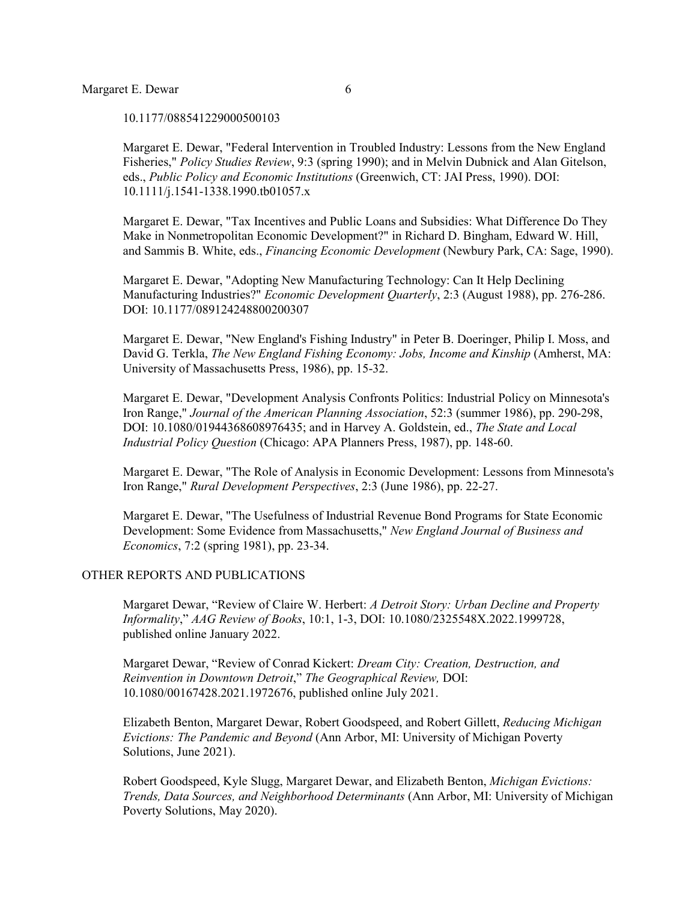10.1177/088541229000500103

Margaret E. Dewar, "Federal Intervention in Troubled Industry: Lessons from the New England Fisheries," *Policy Studies Review*, 9:3 (spring 1990); and in Melvin Dubnick and Alan Gitelson, eds., *Public Policy and Economic Institutions* (Greenwich, CT: JAI Press, 1990). DOI: 10.1111/j.1541-1338.1990.tb01057.x

Margaret E. Dewar, "Tax Incentives and Public Loans and Subsidies: What Difference Do They Make in Nonmetropolitan Economic Development?" in Richard D. Bingham, Edward W. Hill, and Sammis B. White, eds., *Financing Economic Development* (Newbury Park, CA: Sage, 1990).

Margaret E. Dewar, "Adopting New Manufacturing Technology: Can It Help Declining Manufacturing Industries?" *Economic Development Quarterly*, 2:3 (August 1988), pp. 276-286. DOI: 10.1177/089124248800200307

Margaret E. Dewar, "New England's Fishing Industry" in Peter B. Doeringer, Philip I. Moss, and David G. Terkla, *The New England Fishing Economy: Jobs, Income and Kinship* (Amherst, MA: University of Massachusetts Press, 1986), pp. 15-32.

Margaret E. Dewar, "Development Analysis Confronts Politics: Industrial Policy on Minnesota's Iron Range," *Journal of the American Planning Association*, 52:3 (summer 1986), pp. 290-298, DOI: 10.1080/01944368608976435; and in Harvey A. Goldstein, ed., *The State and Local Industrial Policy Question* (Chicago: APA Planners Press, 1987), pp. 148-60.

Margaret E. Dewar, "The Role of Analysis in Economic Development: Lessons from Minnesota's Iron Range," *Rural Development Perspectives*, 2:3 (June 1986), pp. 22-27.

Margaret E. Dewar, "The Usefulness of Industrial Revenue Bond Programs for State Economic Development: Some Evidence from Massachusetts," *New England Journal of Business and Economics*, 7:2 (spring 1981), pp. 23-34.

## OTHER REPORTS AND PUBLICATIONS

Margaret Dewar, "Review of Claire W. Herbert: *A Detroit Story: Urban Decline and Property Informality*," *AAG Review of Books*, 10:1, 1-3, DOI: 10.1080/2325548X.2022.1999728, published online January 2022.

Margaret Dewar, "Review of Conrad Kickert: *Dream City: Creation, Destruction, and Reinvention in Downtown Detroit*," *The Geographical Review,* [DOI:](https://doi.org/10.1080/00167428.2021.1972676)  [10.1080/00167428.2021.1972676,](https://doi.org/10.1080/00167428.2021.1972676) published online July 2021.

Elizabeth Benton, Margaret Dewar, Robert Goodspeed, and Robert Gillett, *Reducing Michigan Evictions: The Pandemic and Beyond* (Ann Arbor, MI: University of Michigan Poverty Solutions, June 2021).

Robert Goodspeed, Kyle Slugg, Margaret Dewar, and Elizabeth Benton, *Michigan Evictions: Trends, Data Sources, and Neighborhood Determinants* (Ann Arbor, MI: University of Michigan Poverty Solutions, May 2020).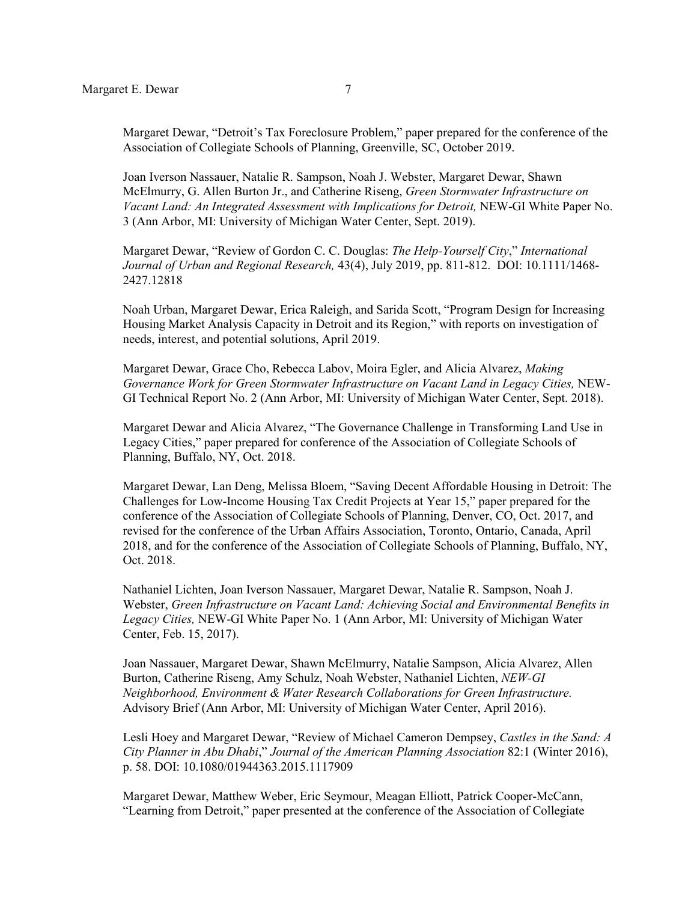Margaret Dewar, "Detroit's Tax Foreclosure Problem," paper prepared for the conference of the Association of Collegiate Schools of Planning, Greenville, SC, October 2019.

Joan Iverson Nassauer, Natalie R. Sampson, Noah J. Webster, Margaret Dewar, Shawn McElmurry, G. Allen Burton Jr., and Catherine Riseng, *Green Stormwater Infrastructure on Vacant Land: An Integrated Assessment with Implications for Detroit,* NEW-GI White Paper No. 3 (Ann Arbor, MI: University of Michigan Water Center, Sept. 2019).

Margaret Dewar, "Review of Gordon C. C. Douglas: *The Help-Yourself City*," *International Journal of Urban and Regional Research,* 43(4), July 2019, pp. 811-812. DOI: 10.1111/1468- 2427.12818

Noah Urban, Margaret Dewar, Erica Raleigh, and Sarida Scott, "Program Design for Increasing Housing Market Analysis Capacity in Detroit and its Region," with reports on investigation of needs, interest, and potential solutions, April 2019.

Margaret Dewar, Grace Cho, Rebecca Labov, Moira Egler, and Alicia Alvarez, *Making Governance Work for Green Stormwater Infrastructure on Vacant Land in Legacy Cities,* NEW-GI Technical Report No. 2 (Ann Arbor, MI: University of Michigan Water Center, Sept. 2018).

Margaret Dewar and Alicia Alvarez, "The Governance Challenge in Transforming Land Use in Legacy Cities," paper prepared for conference of the Association of Collegiate Schools of Planning, Buffalo, NY, Oct. 2018.

Margaret Dewar, Lan Deng, Melissa Bloem, "Saving Decent Affordable Housing in Detroit: The Challenges for Low-Income Housing Tax Credit Projects at Year 15," paper prepared for the conference of the Association of Collegiate Schools of Planning, Denver, CO, Oct. 2017, and revised for the conference of the Urban Affairs Association, Toronto, Ontario, Canada, April 2018, and for the conference of the Association of Collegiate Schools of Planning, Buffalo, NY, Oct. 2018.

Nathaniel Lichten, Joan Iverson Nassauer, Margaret Dewar, Natalie R. Sampson, Noah J. Webster, *Green Infrastructure on Vacant Land: Achieving Social and Environmental Benefits in Legacy Cities,* NEW-GI White Paper No. 1 (Ann Arbor, MI: University of Michigan Water Center, Feb. 15, 2017).

Joan Nassauer, Margaret Dewar, Shawn McElmurry, Natalie Sampson, Alicia Alvarez, Allen Burton, Catherine Riseng, Amy Schulz, Noah Webster, Nathaniel Lichten, *NEW-GI Neighborhood, Environment & Water Research Collaborations for Green Infrastructure.*  Advisory Brief (Ann Arbor, MI: University of Michigan Water Center, April 2016).

Lesli Hoey and Margaret Dewar, "Review of Michael Cameron Dempsey, *Castles in the Sand: A City Planner in Abu Dhabi*," *Journal of the American Planning Association* 82:1 (Winter 2016), p. 58. DOI: 10.1080/01944363.2015.1117909

Margaret Dewar, Matthew Weber, Eric Seymour, Meagan Elliott, Patrick Cooper-McCann, "Learning from Detroit," paper presented at the conference of the Association of Collegiate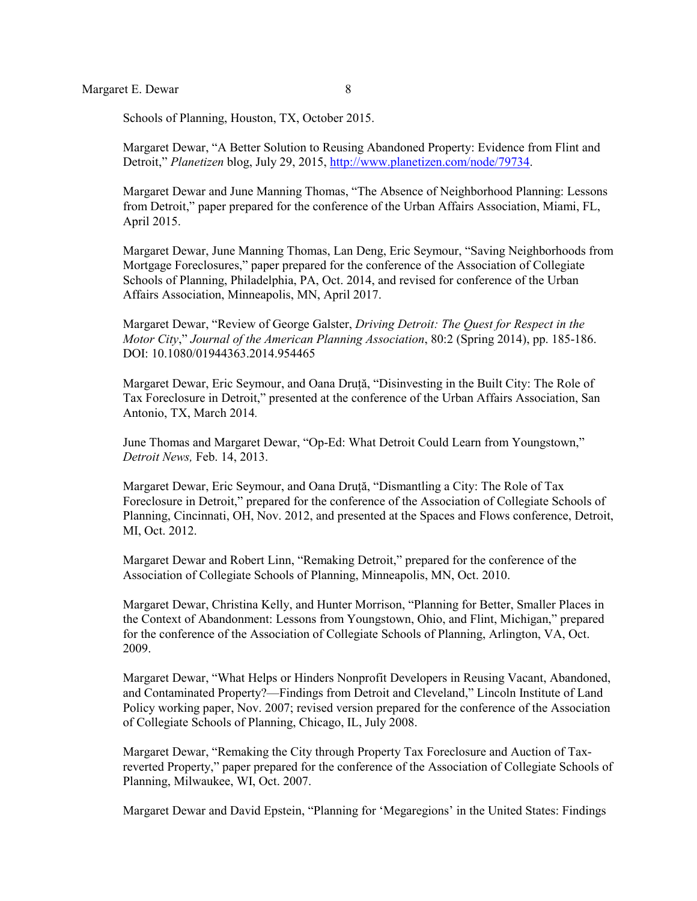Schools of Planning, Houston, TX, October 2015.

Margaret Dewar, "A Better Solution to Reusing Abandoned Property: Evidence from Flint and Detroit," *Planetizen* blog, July 29, 2015, [http://www.planetizen.com/node/79734.](http://www.planetizen.com/node/79734)

Margaret Dewar and June Manning Thomas, "The Absence of Neighborhood Planning: Lessons from Detroit," paper prepared for the conference of the Urban Affairs Association, Miami, FL, April 2015.

Margaret Dewar, June Manning Thomas, Lan Deng, Eric Seymour, "Saving Neighborhoods from Mortgage Foreclosures," paper prepared for the conference of the Association of Collegiate Schools of Planning, Philadelphia, PA, Oct. 2014, and revised for conference of the Urban Affairs Association, Minneapolis, MN, April 2017.

Margaret Dewar, "Review of George Galster, *Driving Detroit: The Quest for Respect in the Motor City*," *Journal of the American Planning Association*, 80:2 (Spring 2014), pp. 185-186. DOI: 10.1080/01944363.2014.954465

Margaret Dewar, Eric Seymour, and Oana Druță, "Disinvesting in the Built City: The Role of Tax Foreclosure in Detroit," presented at the conference of the Urban Affairs Association, San Antonio, TX, March 2014*.*

June Thomas and Margaret Dewar, "Op-Ed: What Detroit Could Learn from Youngstown," *Detroit News,* Feb. 14, 2013.

Margaret Dewar, Eric Seymour, and Oana Druță, "Dismantling a City: The Role of Tax Foreclosure in Detroit," prepared for the conference of the Association of Collegiate Schools of Planning, Cincinnati, OH, Nov. 2012, and presented at the Spaces and Flows conference, Detroit, MI, Oct. 2012.

Margaret Dewar and Robert Linn, "Remaking Detroit," prepared for the conference of the Association of Collegiate Schools of Planning, Minneapolis, MN, Oct. 2010.

Margaret Dewar, Christina Kelly, and Hunter Morrison, "Planning for Better, Smaller Places in the Context of Abandonment: Lessons from Youngstown, Ohio, and Flint, Michigan," prepared for the conference of the Association of Collegiate Schools of Planning, Arlington, VA, Oct. 2009.

Margaret Dewar, "What Helps or Hinders Nonprofit Developers in Reusing Vacant, Abandoned, and Contaminated Property?—Findings from Detroit and Cleveland," Lincoln Institute of Land Policy working paper, Nov. 2007; revised version prepared for the conference of the Association of Collegiate Schools of Planning, Chicago, IL, July 2008.

Margaret Dewar, "Remaking the City through Property Tax Foreclosure and Auction of Taxreverted Property," paper prepared for the conference of the Association of Collegiate Schools of Planning, Milwaukee, WI, Oct. 2007.

Margaret Dewar and David Epstein, "Planning for 'Megaregions' in the United States: Findings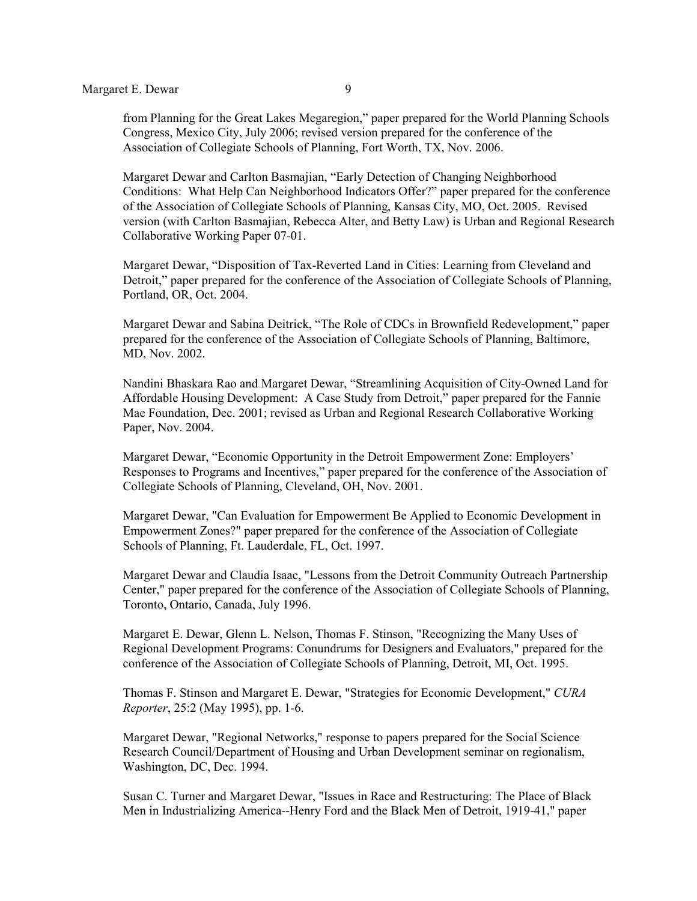from Planning for the Great Lakes Megaregion," paper prepared for the World Planning Schools Congress, Mexico City, July 2006; revised version prepared for the conference of the Association of Collegiate Schools of Planning, Fort Worth, TX, Nov. 2006.

Margaret Dewar and Carlton Basmajian, "Early Detection of Changing Neighborhood Conditions: What Help Can Neighborhood Indicators Offer?" paper prepared for the conference of the Association of Collegiate Schools of Planning, Kansas City, MO, Oct. 2005. Revised version (with Carlton Basmajian, Rebecca Alter, and Betty Law) is Urban and Regional Research Collaborative Working Paper 07-01.

Margaret Dewar, "Disposition of Tax-Reverted Land in Cities: Learning from Cleveland and Detroit," paper prepared for the conference of the Association of Collegiate Schools of Planning, Portland, OR, Oct. 2004.

Margaret Dewar and Sabina Deitrick, "The Role of CDCs in Brownfield Redevelopment," paper prepared for the conference of the Association of Collegiate Schools of Planning, Baltimore, MD, Nov. 2002.

Nandini Bhaskara Rao and Margaret Dewar, "Streamlining Acquisition of City-Owned Land for Affordable Housing Development: A Case Study from Detroit," paper prepared for the Fannie Mae Foundation, Dec. 2001; revised as Urban and Regional Research Collaborative Working Paper, Nov. 2004.

Margaret Dewar, "Economic Opportunity in the Detroit Empowerment Zone: Employers' Responses to Programs and Incentives," paper prepared for the conference of the Association of Collegiate Schools of Planning, Cleveland, OH, Nov. 2001.

Margaret Dewar, "Can Evaluation for Empowerment Be Applied to Economic Development in Empowerment Zones?" paper prepared for the conference of the Association of Collegiate Schools of Planning, Ft. Lauderdale, FL, Oct. 1997.

Margaret Dewar and Claudia Isaac, "Lessons from the Detroit Community Outreach Partnership Center," paper prepared for the conference of the Association of Collegiate Schools of Planning, Toronto, Ontario, Canada, July 1996.

Margaret E. Dewar, Glenn L. Nelson, Thomas F. Stinson, "Recognizing the Many Uses of Regional Development Programs: Conundrums for Designers and Evaluators," prepared for the conference of the Association of Collegiate Schools of Planning, Detroit, MI, Oct. 1995.

Thomas F. Stinson and Margaret E. Dewar, "Strategies for Economic Development," *CURA Reporter*, 25:2 (May 1995), pp. 1-6.

Margaret Dewar, "Regional Networks," response to papers prepared for the Social Science Research Council/Department of Housing and Urban Development seminar on regionalism, Washington, DC, Dec. 1994.

Susan C. Turner and Margaret Dewar, "Issues in Race and Restructuring: The Place of Black Men in Industrializing America--Henry Ford and the Black Men of Detroit, 1919-41," paper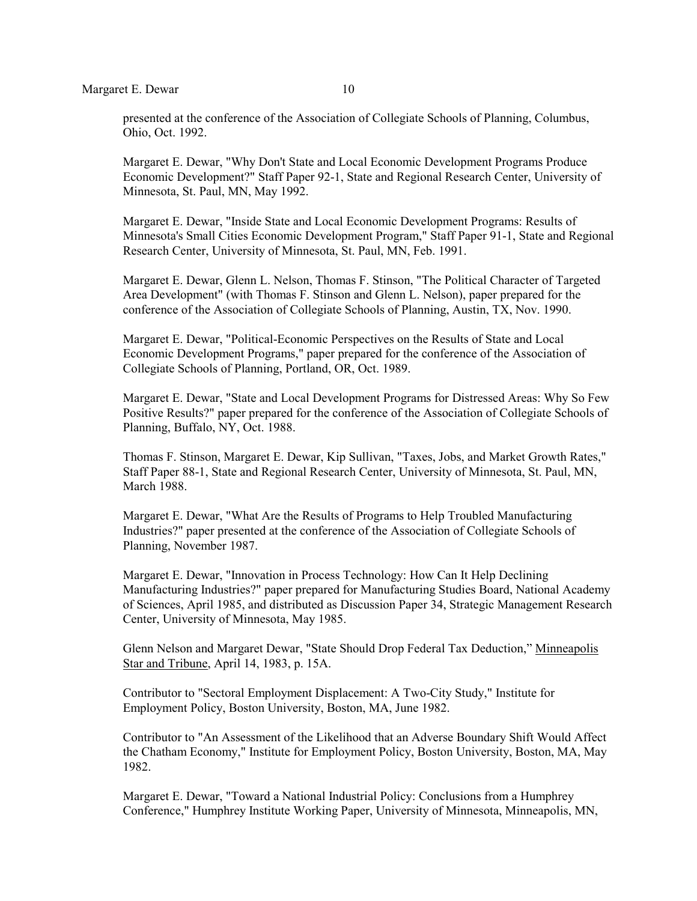presented at the conference of the Association of Collegiate Schools of Planning, Columbus, Ohio, Oct. 1992.

Margaret E. Dewar, "Why Don't State and Local Economic Development Programs Produce Economic Development?" Staff Paper 92-1, State and Regional Research Center, University of Minnesota, St. Paul, MN, May 1992.

Margaret E. Dewar, "Inside State and Local Economic Development Programs: Results of Minnesota's Small Cities Economic Development Program," Staff Paper 91-1, State and Regional Research Center, University of Minnesota, St. Paul, MN, Feb. 1991.

Margaret E. Dewar, Glenn L. Nelson, Thomas F. Stinson, "The Political Character of Targeted Area Development" (with Thomas F. Stinson and Glenn L. Nelson), paper prepared for the conference of the Association of Collegiate Schools of Planning, Austin, TX, Nov. 1990.

Margaret E. Dewar, "Political-Economic Perspectives on the Results of State and Local Economic Development Programs," paper prepared for the conference of the Association of Collegiate Schools of Planning, Portland, OR, Oct. 1989.

Margaret E. Dewar, "State and Local Development Programs for Distressed Areas: Why So Few Positive Results?" paper prepared for the conference of the Association of Collegiate Schools of Planning, Buffalo, NY, Oct. 1988.

Thomas F. Stinson, Margaret E. Dewar, Kip Sullivan, "Taxes, Jobs, and Market Growth Rates," Staff Paper 88-1, State and Regional Research Center, University of Minnesota, St. Paul, MN, March 1988.

Margaret E. Dewar, "What Are the Results of Programs to Help Troubled Manufacturing Industries?" paper presented at the conference of the Association of Collegiate Schools of Planning, November 1987.

Margaret E. Dewar, "Innovation in Process Technology: How Can It Help Declining Manufacturing Industries?" paper prepared for Manufacturing Studies Board, National Academy of Sciences, April 1985, and distributed as Discussion Paper 34, Strategic Management Research Center, University of Minnesota, May 1985.

Glenn Nelson and Margaret Dewar, "State Should Drop Federal Tax Deduction," Minneapolis Star and Tribune, April 14, 1983, p. 15A.

Contributor to "Sectoral Employment Displacement: A Two-City Study," Institute for Employment Policy, Boston University, Boston, MA, June 1982.

Contributor to "An Assessment of the Likelihood that an Adverse Boundary Shift Would Affect the Chatham Economy," Institute for Employment Policy, Boston University, Boston, MA, May 1982.

Margaret E. Dewar, "Toward a National Industrial Policy: Conclusions from a Humphrey Conference," Humphrey Institute Working Paper, University of Minnesota, Minneapolis, MN,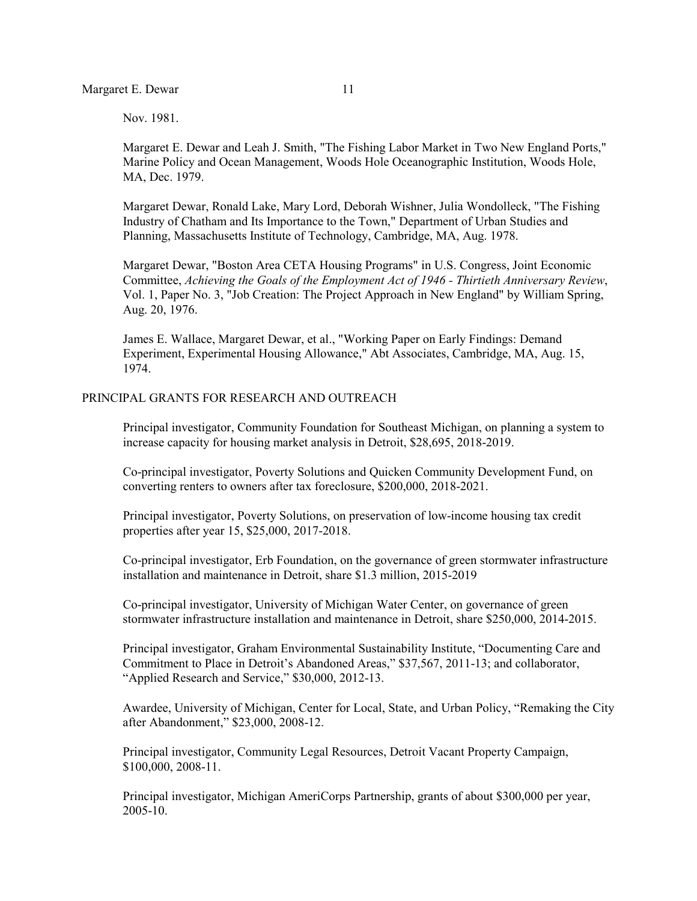Nov. 1981.

Margaret E. Dewar and Leah J. Smith, "The Fishing Labor Market in Two New England Ports," Marine Policy and Ocean Management, Woods Hole Oceanographic Institution, Woods Hole, MA, Dec. 1979.

Margaret Dewar, Ronald Lake, Mary Lord, Deborah Wishner, Julia Wondolleck, "The Fishing Industry of Chatham and Its Importance to the Town," Department of Urban Studies and Planning, Massachusetts Institute of Technology, Cambridge, MA, Aug. 1978.

Margaret Dewar, "Boston Area CETA Housing Programs" in U.S. Congress, Joint Economic Committee, *Achieving the Goals of the Employment Act of 1946 - Thirtieth Anniversary Review*, Vol. 1, Paper No. 3, "Job Creation: The Project Approach in New England" by William Spring, Aug. 20, 1976.

James E. Wallace, Margaret Dewar, et al., "Working Paper on Early Findings: Demand Experiment, Experimental Housing Allowance," Abt Associates, Cambridge, MA, Aug. 15, 1974.

### PRINCIPAL GRANTS FOR RESEARCH AND OUTREACH

Principal investigator, Community Foundation for Southeast Michigan, on planning a system to increase capacity for housing market analysis in Detroit, \$28,695, 2018-2019.

Co-principal investigator, Poverty Solutions and Quicken Community Development Fund, on converting renters to owners after tax foreclosure, \$200,000, 2018-2021.

Principal investigator, Poverty Solutions, on preservation of low-income housing tax credit properties after year 15, \$25,000, 2017-2018.

Co-principal investigator, Erb Foundation, on the governance of green stormwater infrastructure installation and maintenance in Detroit, share \$1.3 million, 2015-2019

Co-principal investigator, University of Michigan Water Center, on governance of green stormwater infrastructure installation and maintenance in Detroit, share \$250,000, 2014-2015.

Principal investigator, Graham Environmental Sustainability Institute, "Documenting Care and Commitment to Place in Detroit's Abandoned Areas," \$37,567, 2011-13; and collaborator, "Applied Research and Service," \$30,000, 2012-13.

Awardee, University of Michigan, Center for Local, State, and Urban Policy, "Remaking the City after Abandonment," \$23,000, 2008-12.

Principal investigator, Community Legal Resources, Detroit Vacant Property Campaign, \$100,000, 2008-11.

Principal investigator, Michigan AmeriCorps Partnership, grants of about \$300,000 per year, 2005-10.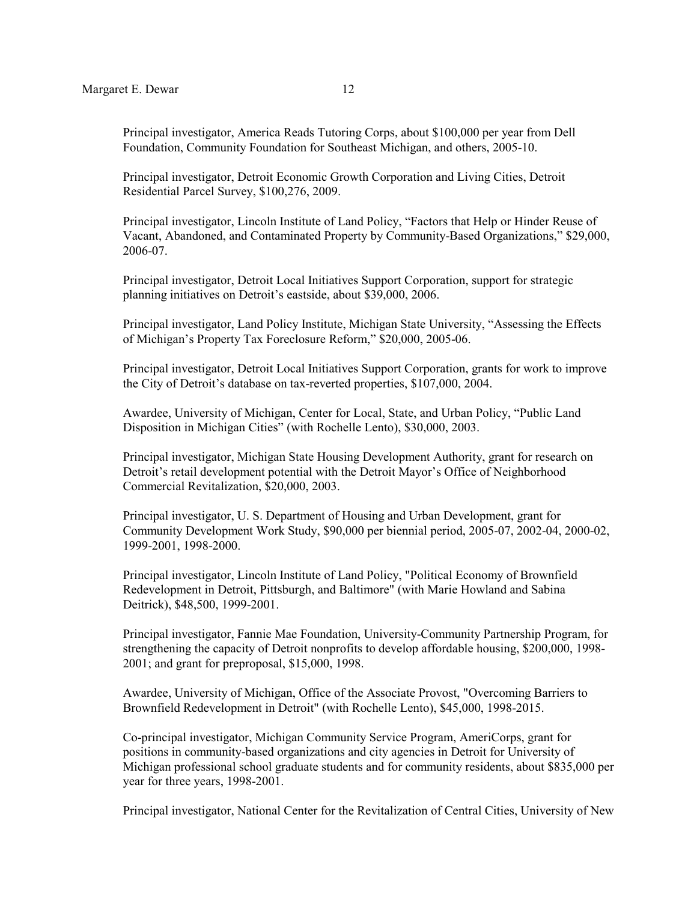Principal investigator, America Reads Tutoring Corps, about \$100,000 per year from Dell Foundation, Community Foundation for Southeast Michigan, and others, 2005-10.

Principal investigator, Detroit Economic Growth Corporation and Living Cities, Detroit Residential Parcel Survey, \$100,276, 2009.

Principal investigator, Lincoln Institute of Land Policy, "Factors that Help or Hinder Reuse of Vacant, Abandoned, and Contaminated Property by Community-Based Organizations," \$29,000, 2006-07.

Principal investigator, Detroit Local Initiatives Support Corporation, support for strategic planning initiatives on Detroit's eastside, about \$39,000, 2006.

Principal investigator, Land Policy Institute, Michigan State University, "Assessing the Effects of Michigan's Property Tax Foreclosure Reform," \$20,000, 2005-06.

Principal investigator, Detroit Local Initiatives Support Corporation, grants for work to improve the City of Detroit's database on tax-reverted properties, \$107,000, 2004.

Awardee, University of Michigan, Center for Local, State, and Urban Policy, "Public Land Disposition in Michigan Cities" (with Rochelle Lento), \$30,000, 2003.

Principal investigator, Michigan State Housing Development Authority, grant for research on Detroit's retail development potential with the Detroit Mayor's Office of Neighborhood Commercial Revitalization, \$20,000, 2003.

Principal investigator, U. S. Department of Housing and Urban Development, grant for Community Development Work Study, \$90,000 per biennial period, 2005-07, 2002-04, 2000-02, 1999-2001, 1998-2000.

Principal investigator, Lincoln Institute of Land Policy, "Political Economy of Brownfield Redevelopment in Detroit, Pittsburgh, and Baltimore" (with Marie Howland and Sabina Deitrick), \$48,500, 1999-2001.

Principal investigator, Fannie Mae Foundation, University-Community Partnership Program, for strengthening the capacity of Detroit nonprofits to develop affordable housing, \$200,000, 1998- 2001; and grant for preproposal, \$15,000, 1998.

Awardee, University of Michigan, Office of the Associate Provost, "Overcoming Barriers to Brownfield Redevelopment in Detroit" (with Rochelle Lento), \$45,000, 1998-2015.

Co-principal investigator, Michigan Community Service Program, AmeriCorps, grant for positions in community-based organizations and city agencies in Detroit for University of Michigan professional school graduate students and for community residents, about \$835,000 per year for three years, 1998-2001.

Principal investigator, National Center for the Revitalization of Central Cities, University of New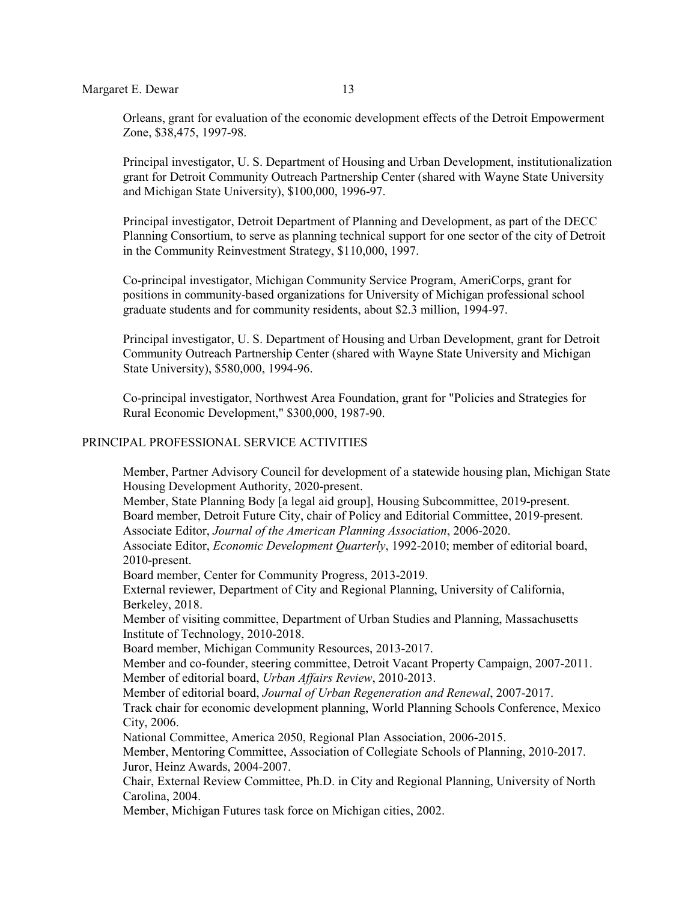Orleans, grant for evaluation of the economic development effects of the Detroit Empowerment Zone, \$38,475, 1997-98.

Principal investigator, U. S. Department of Housing and Urban Development, institutionalization grant for Detroit Community Outreach Partnership Center (shared with Wayne State University and Michigan State University), \$100,000, 1996-97.

Principal investigator, Detroit Department of Planning and Development, as part of the DECC Planning Consortium, to serve as planning technical support for one sector of the city of Detroit in the Community Reinvestment Strategy, \$110,000, 1997.

Co-principal investigator, Michigan Community Service Program, AmeriCorps, grant for positions in community-based organizations for University of Michigan professional school graduate students and for community residents, about \$2.3 million, 1994-97.

Principal investigator, U. S. Department of Housing and Urban Development, grant for Detroit Community Outreach Partnership Center (shared with Wayne State University and Michigan State University), \$580,000, 1994-96.

Co-principal investigator, Northwest Area Foundation, grant for "Policies and Strategies for Rural Economic Development," \$300,000, 1987-90.

#### PRINCIPAL PROFESSIONAL SERVICE ACTIVITIES

Member, Partner Advisory Council for development of a statewide housing plan, Michigan State Housing Development Authority, 2020-present.

Member, State Planning Body [a legal aid group], Housing Subcommittee, 2019-present. Board member, Detroit Future City, chair of Policy and Editorial Committee, 2019-present. Associate Editor, *Journal of the American Planning Association*, 2006-2020.

Associate Editor, *Economic Development Quarterly*, 1992-2010; member of editorial board, 2010-present.

Board member, Center for Community Progress, 2013-2019.

External reviewer, Department of City and Regional Planning, University of California, Berkeley, 2018.

Member of visiting committee, Department of Urban Studies and Planning, Massachusetts Institute of Technology, 2010-2018.

Board member, Michigan Community Resources, 2013-2017.

Member and co-founder, steering committee, Detroit Vacant Property Campaign, 2007-2011. Member of editorial board, *Urban Affairs Review*, 2010-2013.

Member of editorial board, *Journal of Urban Regeneration and Renewal*, 2007-2017. Track chair for economic development planning, World Planning Schools Conference, Mexico City, 2006.

National Committee, America 2050, Regional Plan Association, 2006-2015.

Member, Mentoring Committee, Association of Collegiate Schools of Planning, 2010-2017. Juror, Heinz Awards, 2004-2007.

Chair, External Review Committee, Ph.D. in City and Regional Planning, University of North Carolina, 2004.

Member, Michigan Futures task force on Michigan cities, 2002.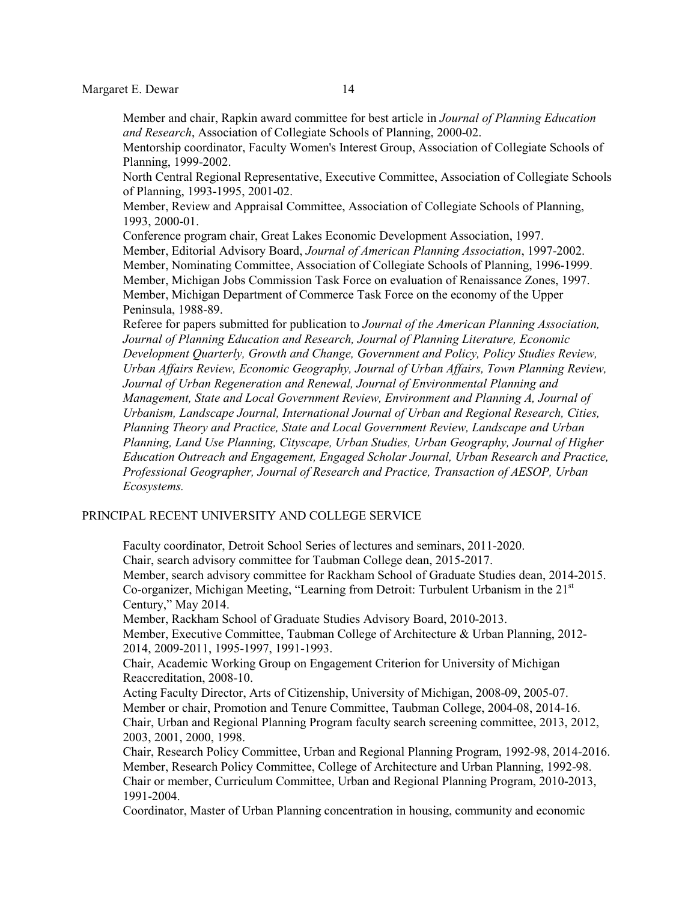Member and chair, Rapkin award committee for best article in *Journal of Planning Education and Research*, Association of Collegiate Schools of Planning, 2000-02.

Mentorship coordinator, Faculty Women's Interest Group, Association of Collegiate Schools of Planning, 1999-2002.

North Central Regional Representative, Executive Committee, Association of Collegiate Schools of Planning, 1993-1995, 2001-02.

Member, Review and Appraisal Committee, Association of Collegiate Schools of Planning, 1993, 2000-01.

Conference program chair, Great Lakes Economic Development Association, 1997. Member, Editorial Advisory Board, *Journal of American Planning Association*, 1997-2002. Member, Nominating Committee, Association of Collegiate Schools of Planning, 1996-1999. Member, Michigan Jobs Commission Task Force on evaluation of Renaissance Zones, 1997. Member, Michigan Department of Commerce Task Force on the economy of the Upper Peninsula, 1988-89.

Referee for papers submitted for publication to *Journal of the American Planning Association, Journal of Planning Education and Research, Journal of Planning Literature, Economic Development Quarterly, Growth and Change, Government and Policy, Policy Studies Review, Urban Affairs Review, Economic Geography, Journal of Urban Affairs, Town Planning Review, Journal of Urban Regeneration and Renewal, Journal of Environmental Planning and Management, State and Local Government Review, Environment and Planning A, Journal of Urbanism, Landscape Journal, International Journal of Urban and Regional Research, Cities, Planning Theory and Practice, State and Local Government Review, Landscape and Urban Planning, Land Use Planning, Cityscape, Urban Studies, Urban Geography, Journal of Higher Education Outreach and Engagement, Engaged Scholar Journal, Urban Research and Practice, Professional Geographer, Journal of Research and Practice, Transaction of AESOP, Urban Ecosystems.*

### PRINCIPAL RECENT UNIVERSITY AND COLLEGE SERVICE

Faculty coordinator, Detroit School Series of lectures and seminars, 2011-2020. Chair, search advisory committee for Taubman College dean, 2015-2017. Member, search advisory committee for Rackham School of Graduate Studies dean, 2014-2015. Co-organizer, Michigan Meeting, "Learning from Detroit: Turbulent Urbanism in the  $21<sup>st</sup>$ Century," May 2014. Member, Rackham School of Graduate Studies Advisory Board, 2010-2013. Member, Executive Committee, Taubman College of Architecture & Urban Planning, 2012- 2014, 2009-2011, 1995-1997, 1991-1993. Chair, Academic Working Group on Engagement Criterion for University of Michigan Reaccreditation, 2008-10. Acting Faculty Director, Arts of Citizenship, University of Michigan, 2008-09, 2005-07. Member or chair, Promotion and Tenure Committee, Taubman College, 2004-08, 2014-16. Chair, Urban and Regional Planning Program faculty search screening committee, 2013, 2012, 2003, 2001, 2000, 1998. Chair, Research Policy Committee, Urban and Regional Planning Program, 1992-98, 2014-2016. Member, Research Policy Committee, College of Architecture and Urban Planning, 1992-98. Chair or member, Curriculum Committee, Urban and Regional Planning Program, 2010-2013, 1991-2004. Coordinator, Master of Urban Planning concentration in housing, community and economic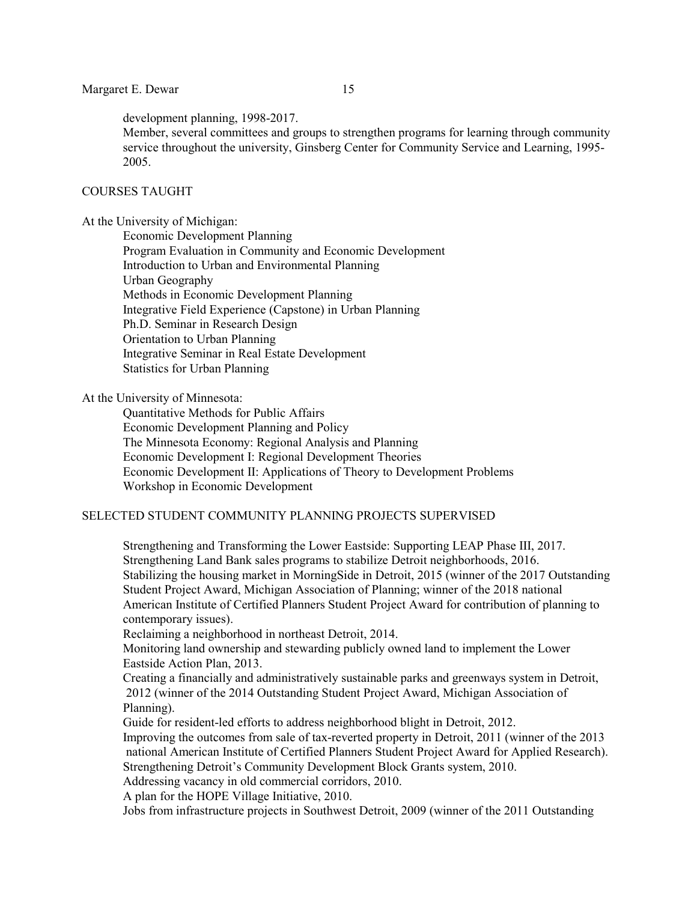development planning, 1998-2017.

Member, several committees and groups to strengthen programs for learning through community service throughout the university, Ginsberg Center for Community Service and Learning, 1995- 2005.

# COURSES TAUGHT

At the University of Michigan:

Economic Development Planning Program Evaluation in Community and Economic Development Introduction to Urban and Environmental Planning Urban Geography Methods in Economic Development Planning Integrative Field Experience (Capstone) in Urban Planning Ph.D. Seminar in Research Design Orientation to Urban Planning Integrative Seminar in Real Estate Development Statistics for Urban Planning

At the University of Minnesota:

Quantitative Methods for Public Affairs Economic Development Planning and Policy The Minnesota Economy: Regional Analysis and Planning Economic Development I: Regional Development Theories Economic Development II: Applications of Theory to Development Problems Workshop in Economic Development

# SELECTED STUDENT COMMUNITY PLANNING PROJECTS SUPERVISED

Strengthening and Transforming the Lower Eastside: Supporting LEAP Phase III, 2017. Strengthening Land Bank sales programs to stabilize Detroit neighborhoods, 2016. Stabilizing the housing market in MorningSide in Detroit, 2015 (winner of the 2017 Outstanding Student Project Award, Michigan Association of Planning; winner of the 2018 national American Institute of Certified Planners Student Project Award for contribution of planning to contemporary issues).

Reclaiming a neighborhood in northeast Detroit, 2014.

Monitoring land ownership and stewarding publicly owned land to implement the Lower Eastside Action Plan, 2013.

Creating a financially and administratively sustainable parks and greenways system in Detroit, 2012 (winner of the 2014 Outstanding Student Project Award, Michigan Association of Planning).

Guide for resident-led efforts to address neighborhood blight in Detroit, 2012.

Improving the outcomes from sale of tax-reverted property in Detroit, 2011 (winner of the 2013 national American Institute of Certified Planners Student Project Award for Applied Research). Strengthening Detroit's Community Development Block Grants system, 2010.

Addressing vacancy in old commercial corridors, 2010.

A plan for the HOPE Village Initiative, 2010.

Jobs from infrastructure projects in Southwest Detroit, 2009 (winner of the 2011 Outstanding